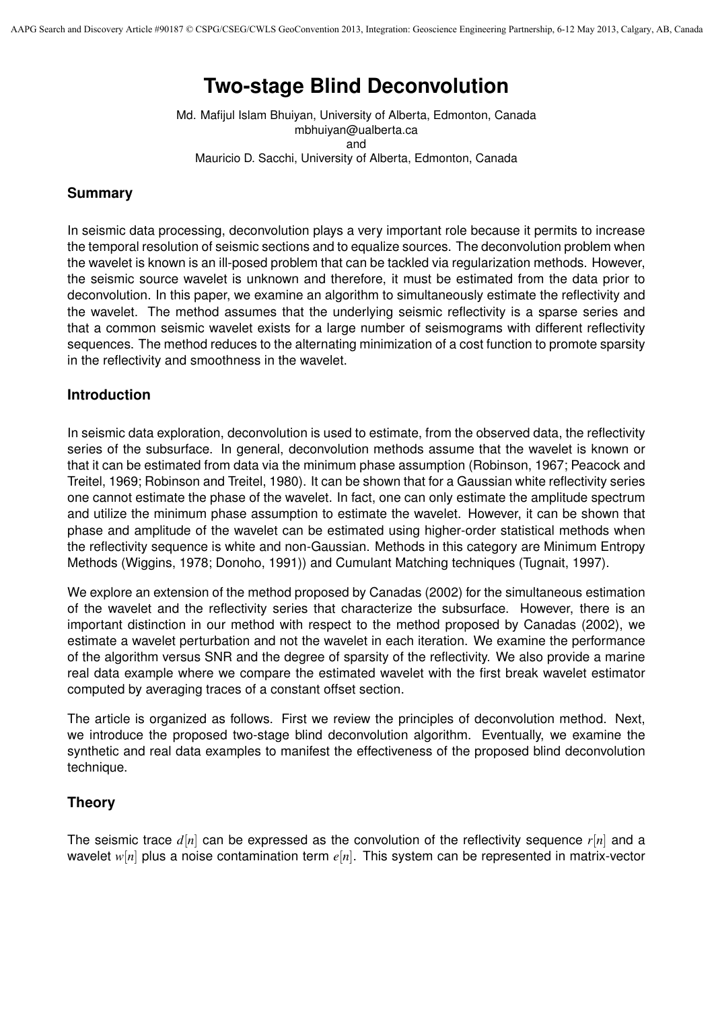# **Two-stage Blind Deconvolution**

Md. Mafijul Islam Bhuiyan, University of Alberta, Edmonton, Canada mbhuiyan@ualberta.ca and Mauricio D. Sacchi, University of Alberta, Edmonton, Canada

#### **Summary**

In seismic data processing, deconvolution plays a very important role because it permits to increase the temporal resolution of seismic sections and to equalize sources. The deconvolution problem when the wavelet is known is an ill-posed problem that can be tackled via regularization methods. However, the seismic source wavelet is unknown and therefore, it must be estimated from the data prior to deconvolution. In this paper, we examine an algorithm to simultaneously estimate the reflectivity and the wavelet. The method assumes that the underlying seismic reflectivity is a sparse series and that a common seismic wavelet exists for a large number of seismograms with different reflectivity sequences. The method reduces to the alternating minimization of a cost function to promote sparsity in the reflectivity and smoothness in the wavelet.

## **Introduction**

In seismic data exploration, deconvolution is used to estimate, from the observed data, the reflectivity series of the subsurface. In general, deconvolution methods assume that the wavelet is known or that it can be estimated from data via the minimum phase assumption (Robinson, 1967; Peacock and Treitel, 1969; Robinson and Treitel, 1980). It can be shown that for a Gaussian white reflectivity series one cannot estimate the phase of the wavelet. In fact, one can only estimate the amplitude spectrum and utilize the minimum phase assumption to estimate the wavelet. However, it can be shown that phase and amplitude of the wavelet can be estimated using higher-order statistical methods when the reflectivity sequence is white and non-Gaussian. Methods in this category are Minimum Entropy Methods (Wiggins, 1978; Donoho, 1991)) and Cumulant Matching techniques (Tugnait, 1997).

We explore an extension of the method proposed by Canadas (2002) for the simultaneous estimation of the wavelet and the reflectivity series that characterize the subsurface. However, there is an important distinction in our method with respect to the method proposed by Canadas (2002), we estimate a wavelet perturbation and not the wavelet in each iteration. We examine the performance of the algorithm versus SNR and the degree of sparsity of the reflectivity. We also provide a marine real data example where we compare the estimated wavelet with the first break wavelet estimator computed by averaging traces of a constant offset section.

The article is organized as follows. First we review the principles of deconvolution method. Next, we introduce the proposed two-stage blind deconvolution algorithm. Eventually, we examine the synthetic and real data examples to manifest the effectiveness of the proposed blind deconvolution technique.

## **Theory**

The seismic trace *d*[*n*] can be expressed as the convolution of the reflectivity sequence *r*[*n*] and a wavelet *w*[*n*] plus a noise contamination term *e*[*n*]. This system can be represented in matrix-vector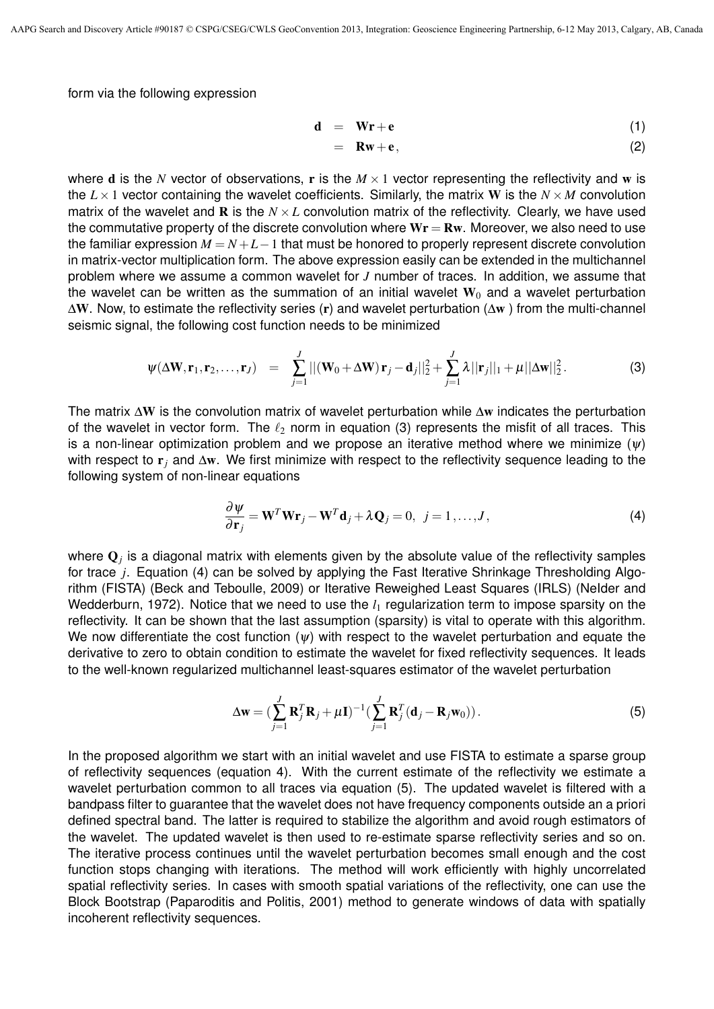form via the following expression

$$
\mathbf{d} = \mathbf{Wr} + \mathbf{e} \tag{1}
$$

$$
= Rw + e, \qquad (2)
$$

where **d** is the *N* vector of observations, **r** is the  $M \times 1$  vector representing the reflectivity and **w** is the  $L \times 1$  vector containing the wavelet coefficients. Similarly, the matrix W is the  $N \times M$  convolution matrix of the wavelet and **R** is the  $N \times L$  convolution matrix of the reflectivity. Clearly, we have used the commutative property of the discrete convolution where  $Wr = Rw$ . Moreover, we also need to use the familiar expression *M* = *N* +*L−*1 that must be honored to properly represent discrete convolution in matrix-vector multiplication form. The above expression easily can be extended in the multichannel problem where we assume a common wavelet for *J* number of traces. In addition, we assume that the wavelet can be written as the summation of an initial wavelet  $W_0$  and a wavelet perturbation  $\Delta$ W. Now, to estimate the reflectivity series (r) and wavelet perturbation ( $\Delta$ w) from the multi-channel seismic signal, the following cost function needs to be minimized

$$
\psi(\Delta \mathbf{W}, \mathbf{r}_1, \mathbf{r}_2, \dots, \mathbf{r}_J) = \sum_{j=1}^J ||(\mathbf{W}_0 + \Delta \mathbf{W}) \mathbf{r}_j - \mathbf{d}_j||_2^2 + \sum_{j=1}^J \lambda ||\mathbf{r}_j||_1 + \mu ||\Delta \mathbf{w}||_2^2.
$$
 (3)

The matrix ∆W is the convolution matrix of wavelet perturbation while ∆w indicates the perturbation of the wavelet in vector form. The *`*<sup>2</sup> norm in equation (3) represents the misfit of all traces. This is a non-linear optimization problem and we propose an iterative method where we minimize  $(\psi)$ with respect to r*<sup>j</sup>* and ∆w. We first minimize with respect to the reflectivity sequence leading to the following system of non-linear equations

$$
\frac{\partial \psi}{\partial \mathbf{r}_j} = \mathbf{W}^T \mathbf{W} \mathbf{r}_j - \mathbf{W}^T \mathbf{d}_j + \lambda \mathbf{Q}_j = 0, \ \ j = 1, ..., J,
$$
\n(4)

where  $\mathbf{Q}_j$  is a diagonal matrix with elements given by the absolute value of the reflectivity samples for trace *j*. Equation (4) can be solved by applying the Fast Iterative Shrinkage Thresholding Algorithm (FISTA) (Beck and Teboulle, 2009) or Iterative Reweighed Least Squares (IRLS) (NeIder and Wedderburn, 1972). Notice that we need to use the  $l_1$  regularization term to impose sparsity on the reflectivity. It can be shown that the last assumption (sparsity) is vital to operate with this algorithm. We now differentiate the cost function  $(\psi)$  with respect to the wavelet perturbation and equate the derivative to zero to obtain condition to estimate the wavelet for fixed reflectivity sequences. It leads to the well-known regularized multichannel least-squares estimator of the wavelet perturbation

$$
\Delta \mathbf{w} = \left(\sum_{j=1}^{J} \mathbf{R}_{j}^{T} \mathbf{R}_{j} + \mu \mathbf{I}\right)^{-1} \left(\sum_{j=1}^{J} \mathbf{R}_{j}^{T} (\mathbf{d}_{j} - \mathbf{R}_{j} \mathbf{w}_{0})\right).
$$
(5)

In the proposed algorithm we start with an initial wavelet and use FISTA to estimate a sparse group of reflectivity sequences (equation 4). With the current estimate of the reflectivity we estimate a wavelet perturbation common to all traces via equation (5). The updated wavelet is filtered with a bandpass filter to guarantee that the wavelet does not have frequency components outside an a priori defined spectral band. The latter is required to stabilize the algorithm and avoid rough estimators of the wavelet. The updated wavelet is then used to re-estimate sparse reflectivity series and so on. The iterative process continues until the wavelet perturbation becomes small enough and the cost function stops changing with iterations. The method will work efficiently with highly uncorrelated spatial reflectivity series. In cases with smooth spatial variations of the reflectivity, one can use the Block Bootstrap (Paparoditis and Politis, 2001) method to generate windows of data with spatially incoherent reflectivity sequences.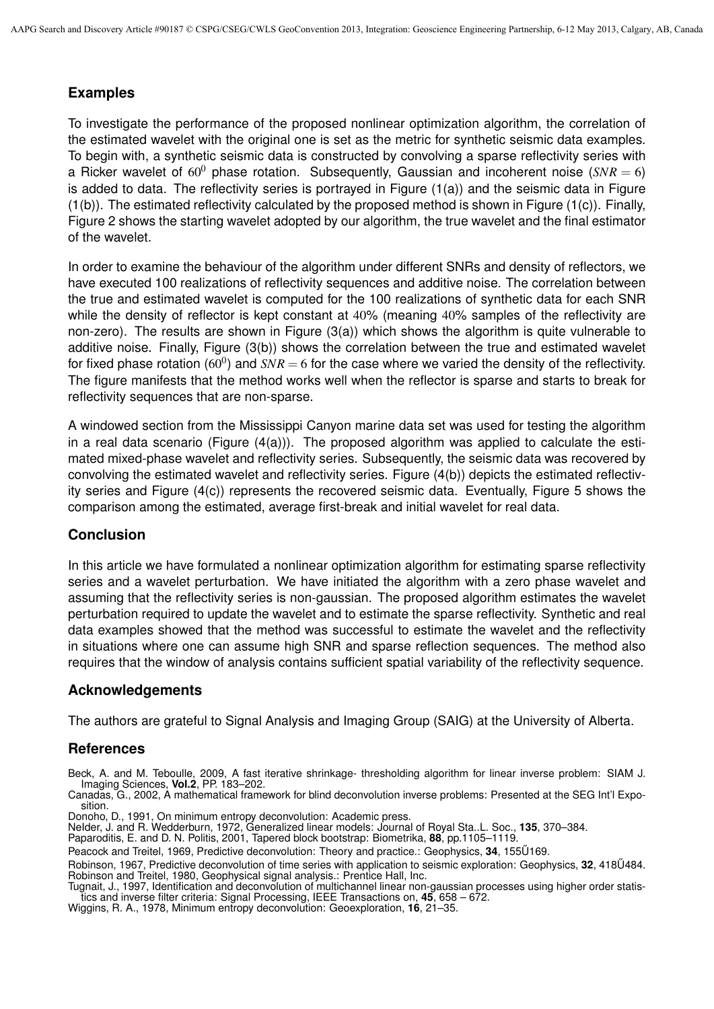## **Examples**

To investigate the performance of the proposed nonlinear optimization algorithm, the correlation of the estimated wavelet with the original one is set as the metric for synthetic seismic data examples. To begin with, a synthetic seismic data is constructed by convolving a sparse reflectivity series with a Ricker wavelet of  $60^0$  phase rotation. Subsequently, Gaussian and incoherent noise ( $SNR = 6$ ) is added to data. The reflectivity series is portrayed in Figure (1(a)) and the seismic data in Figure (1(b)). The estimated reflectivity calculated by the proposed method is shown in Figure (1(c)). Finally, Figure 2 shows the starting wavelet adopted by our algorithm, the true wavelet and the final estimator of the wavelet.

In order to examine the behaviour of the algorithm under different SNRs and density of reflectors, we have executed 100 realizations of reflectivity sequences and additive noise. The correlation between the true and estimated wavelet is computed for the 100 realizations of synthetic data for each SNR while the density of reflector is kept constant at 40% (meaning 40% samples of the reflectivity are non-zero). The results are shown in Figure  $(3(a))$  which shows the algorithm is quite vulnerable to additive noise. Finally, Figure (3(b)) shows the correlation between the true and estimated wavelet for fixed phase rotation (60<sup>0</sup>) and  $SNR = 6$  for the case where we varied the density of the reflectivity. The figure manifests that the method works well when the reflector is sparse and starts to break for reflectivity sequences that are non-sparse.

A windowed section from the Mississippi Canyon marine data set was used for testing the algorithm in a real data scenario (Figure  $(4(a))$ ). The proposed algorithm was applied to calculate the estimated mixed-phase wavelet and reflectivity series. Subsequently, the seismic data was recovered by convolving the estimated wavelet and reflectivity series. Figure (4(b)) depicts the estimated reflectivity series and Figure (4(c)) represents the recovered seismic data. Eventually, Figure 5 shows the comparison among the estimated, average first-break and initial wavelet for real data.

## **Conclusion**

In this article we have formulated a nonlinear optimization algorithm for estimating sparse reflectivity series and a wavelet perturbation. We have initiated the algorithm with a zero phase wavelet and assuming that the reflectivity series is non-gaussian. The proposed algorithm estimates the wavelet perturbation required to update the wavelet and to estimate the sparse reflectivity. Synthetic and real data examples showed that the method was successful to estimate the wavelet and the reflectivity in situations where one can assume high SNR and sparse reflection sequences. The method also requires that the window of analysis contains sufficient spatial variability of the reflectivity sequence.

## **Acknowledgements**

The authors are grateful to Signal Analysis and Imaging Group (SAIG) at the University of Alberta.

## **References**

Beck, A. and M. Teboulle, 2009, A fast iterative shrinkage- thresholding algorithm for linear inverse problem: SIAM J. Imaging Sciences, **Vol.2**, PP. 183–202.

Canadas, G., 2002, A mathematical framework for blind deconvolution inverse problems: Presented at the SEG Int'l Exposition.

Donoho, D., 1991, On minimum entropy deconvolution: Academic press.

NeIder, J. and R. Wedderburn, 1972, Generalized linear models: Journal of Royal Sta..L. Soc., **135**, 370–384.

Paparoditis, E. and D. N. Politis, 2001, Tapered block bootstrap: Biometrika, **88**, pp.1105–1119.

Peacock and Treitel, 1969, Predictive deconvolution: Theory and practice.: Geophysics, 34, 155U169.

Robinson, 1967, Predictive deconvolution of time series with application to seismic exploration: Geophysics, **32**, 418U484. ˝ Robinson and Treitel, 1980, Geophysical signal analysis.: Prentice Hall, Inc.

Tugnait, J., 1997, Identification and deconvolution of multichannel linear non-gaussian processes using higher order statistics and inverse filter criteria: Signal Processing, IEEE Transactions on, **45**, 658 – 672.

Wiggins, R. A., 1978, Minimum entropy deconvolution: Geoexploration, **16**, 21–35.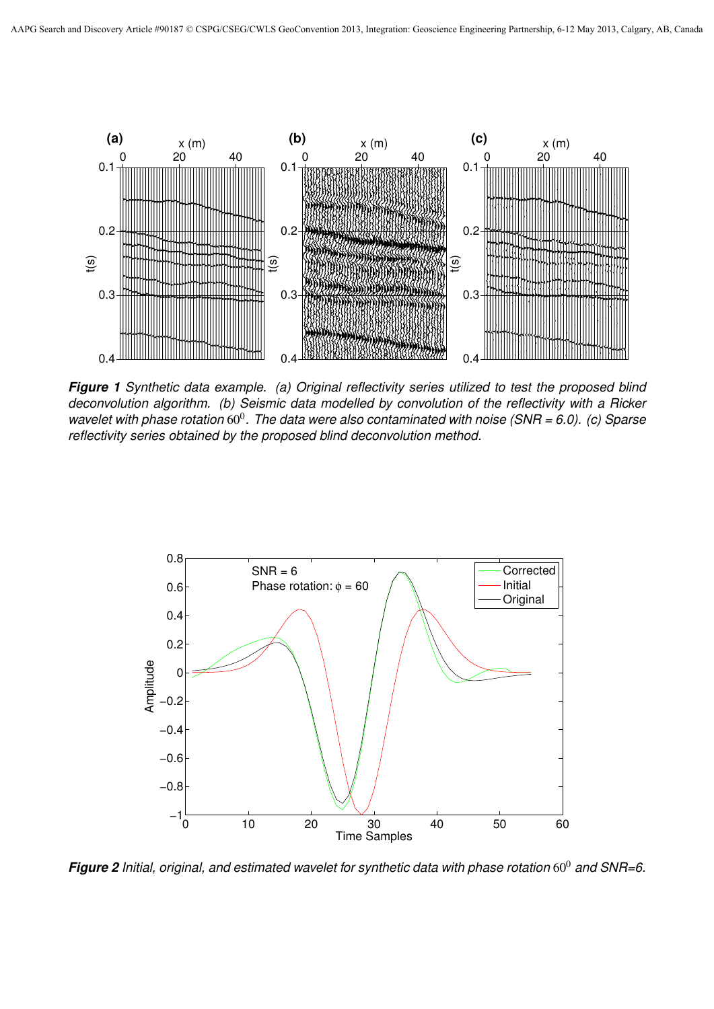

*Figure 1 Synthetic data example. (a) Original reflectivity series utilized to test the proposed blind deconvolution algorithm. (b) Seismic data modelled by convolution of the reflectivity with a Ricker* wavelet with phase rotation 60<sup>0</sup>. The data were also contaminated with noise (SNR = 6.0). (c) Sparse *reflectivity series obtained by the proposed blind deconvolution method.*



*Figure 2 Initial, original, and estimated wavelet for synthetic data with phase rotation* 60<sup>0</sup> *and SNR=6.*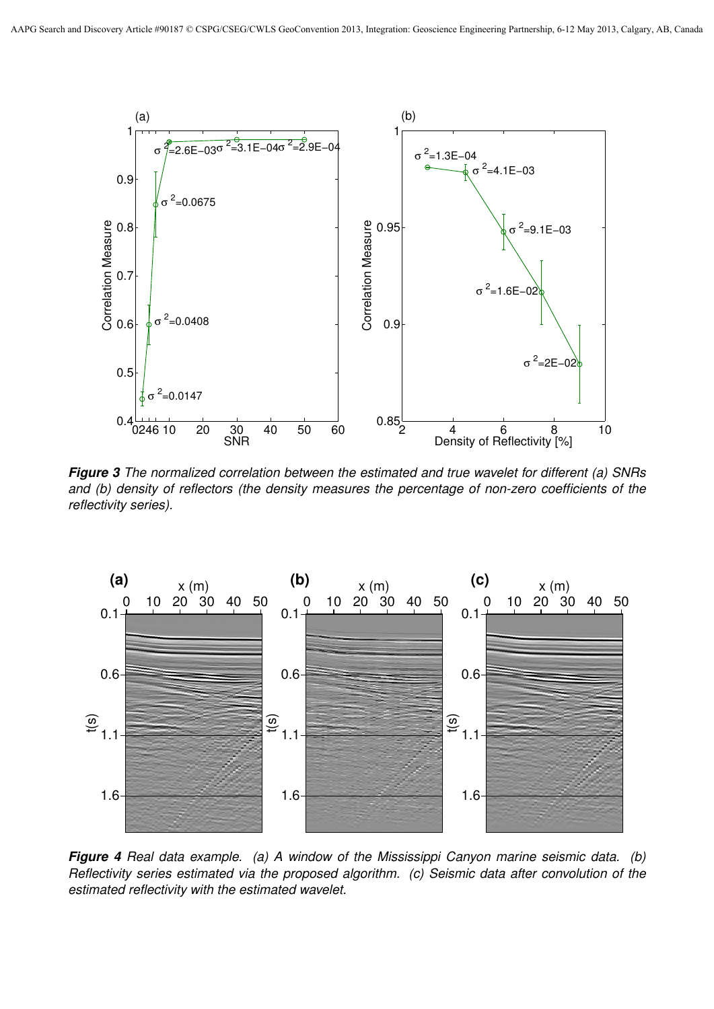

*Figure 3 The normalized correlation between the estimated and true wavelet for different (a) SNRs and (b) density of reflectors (the density measures the percentage of non-zero coefficients of the reflectivity series).*



*Figure 4 Real data example. (a) A window of the Mississippi Canyon marine seismic data. (b) Reflectivity series estimated via the proposed algorithm. (c) Seismic data after convolution of the estimated reflectivity with the estimated wavelet.*